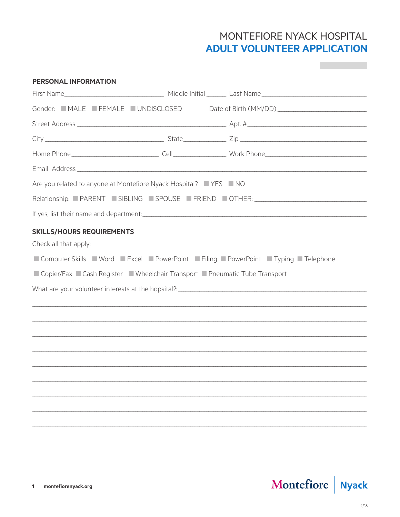## MONTEFIORE NYACK HOSPITAL **ADULT VOLUNTEER APPLICATION**

| <b>PERSONAL INFORMATION</b>                                                    |                                                                                          |
|--------------------------------------------------------------------------------|------------------------------------------------------------------------------------------|
|                                                                                |                                                                                          |
|                                                                                | Gender: MALE FEMALE UNDISCLOSED Date of Birth (MM/DD)                                    |
|                                                                                |                                                                                          |
|                                                                                |                                                                                          |
|                                                                                |                                                                                          |
|                                                                                |                                                                                          |
| Are you related to anyone at Montefiore Nyack Hospital? YES NO                 |                                                                                          |
|                                                                                | Relationship: PARENT SIBLING SPOUSE FRIEND OTHER: ______________________________         |
|                                                                                |                                                                                          |
| <b>SKILLS/HOURS REQUIREMENTS</b>                                               |                                                                                          |
| Check all that apply:                                                          |                                                                                          |
|                                                                                | ■ Computer Skills ■ Word ■ Excel ■ PowerPoint ■ Filing ■ PowerPoint ■ Typing ■ Telephone |
| ■ Copier/Fax ■ Cash Register ■ Wheelchair Transport ■ Pneumatic Tube Transport |                                                                                          |
|                                                                                |                                                                                          |
|                                                                                |                                                                                          |
|                                                                                |                                                                                          |
|                                                                                |                                                                                          |
|                                                                                |                                                                                          |
|                                                                                |                                                                                          |
|                                                                                |                                                                                          |
|                                                                                |                                                                                          |
|                                                                                |                                                                                          |
|                                                                                |                                                                                          |
|                                                                                |                                                                                          |

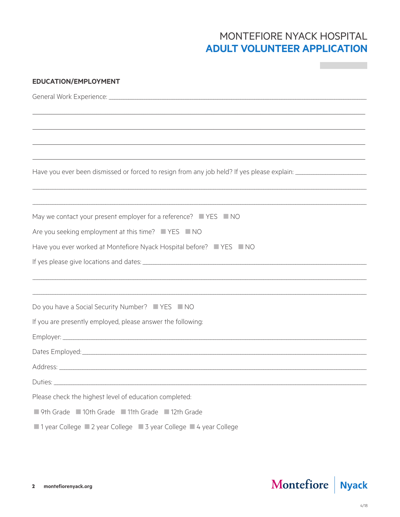## MONTEFIORE NYACK HOSPITAL **ADULT VOLUNTEER APPLICATION**

**Contract Contract** 

| <b>EDUCATION/EMPLOYMENT</b>                                                                                    |  |  |  |  |
|----------------------------------------------------------------------------------------------------------------|--|--|--|--|
|                                                                                                                |  |  |  |  |
|                                                                                                                |  |  |  |  |
|                                                                                                                |  |  |  |  |
|                                                                                                                |  |  |  |  |
|                                                                                                                |  |  |  |  |
| Have you ever been dismissed or forced to resign from any job held? If yes please explain: ___________________ |  |  |  |  |
|                                                                                                                |  |  |  |  |
| May we contact your present employer for a reference? YES NO                                                   |  |  |  |  |
| Are you seeking employment at this time? YES NO                                                                |  |  |  |  |
| Have you ever worked at Montefiore Nyack Hospital before? YES NO                                               |  |  |  |  |
|                                                                                                                |  |  |  |  |
|                                                                                                                |  |  |  |  |
|                                                                                                                |  |  |  |  |
| Do you have a Social Security Number? ■ YES ■ NO                                                               |  |  |  |  |
| If you are presently employed, please answer the following:                                                    |  |  |  |  |
|                                                                                                                |  |  |  |  |
|                                                                                                                |  |  |  |  |
|                                                                                                                |  |  |  |  |
|                                                                                                                |  |  |  |  |
| Please check the highest level of education completed:                                                         |  |  |  |  |
| ■ 9th Grade ■ 10th Grade ■ 11th Grade ■ 12th Grade                                                             |  |  |  |  |
| ■ 1 year College ■ 2 year College ■ 3 year College ■ 4 year College                                            |  |  |  |  |

# Montefiore Nyack